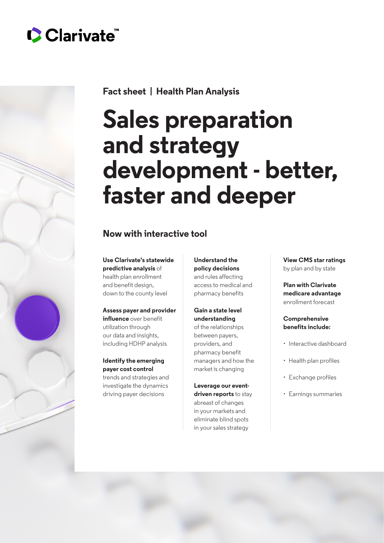# Clarivate



**Fact sheet | Health Plan Analysis**

# **Sales preparation and strategy development - better, faster and deeper**

# **Now with interactive tool**

**Use Clarivate's statewide predictive analysis** of health plan enrollment and benefit design, down to the county level

## **Assess payer and provider**

**influence** over benefit utilization through our data and insights, including HDHP analysis

## **Identify the emerging payer cost control**

trends and strategies and investigate the dynamics driving payer decisions

**Understand the policy decisions** and rules affecting access to medical and pharmacy benefits

#### **Gain a state level understanding** of the relationships between payers,

providers, and pharmacy benefit managers and how the market is changing

**Leverage our eventdriven reports** to stay abreast of changes in your markets and eliminate blind spots in your sales strategy

**View CMS star ratings** by plan and by state

**Plan with Clarivate medicare advantage** enrollment forecast

#### **Comprehensive benefits include:**

- Interactive dashboard
- Health plan profiles
- Exchange profiles
- Earnings summaries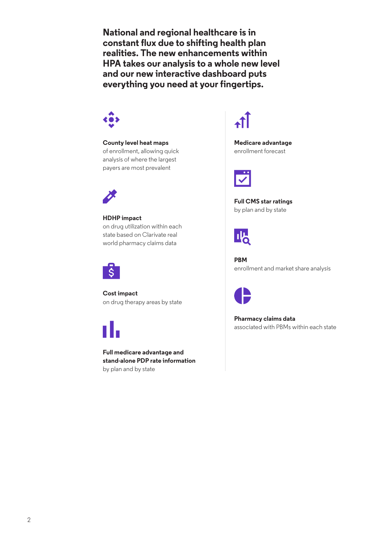**National and regional healthcare is in constant flux due to shifting health plan realities. The new enhancements within HPA takes our analysis to a whole new level and our new interactive dashboard puts everything you need at your fingertips.**



**County level heat maps** of enrollment, allowing quick analysis of where the largest payers are most prevalent



**HDHP impact** on drug utilization within each state based on Clarivate real world pharmacy claims data



**Cost impact** on drug therapy areas by state



**Full medicare advantage and stand-alone PDP rate information** by plan and by state



**Medicare advantage** enrollment forecast



**Full CMS star ratings** by plan and by state



**PBM** enrollment and market share analysis



**Pharmacy claims data** associated with PBMs within each state